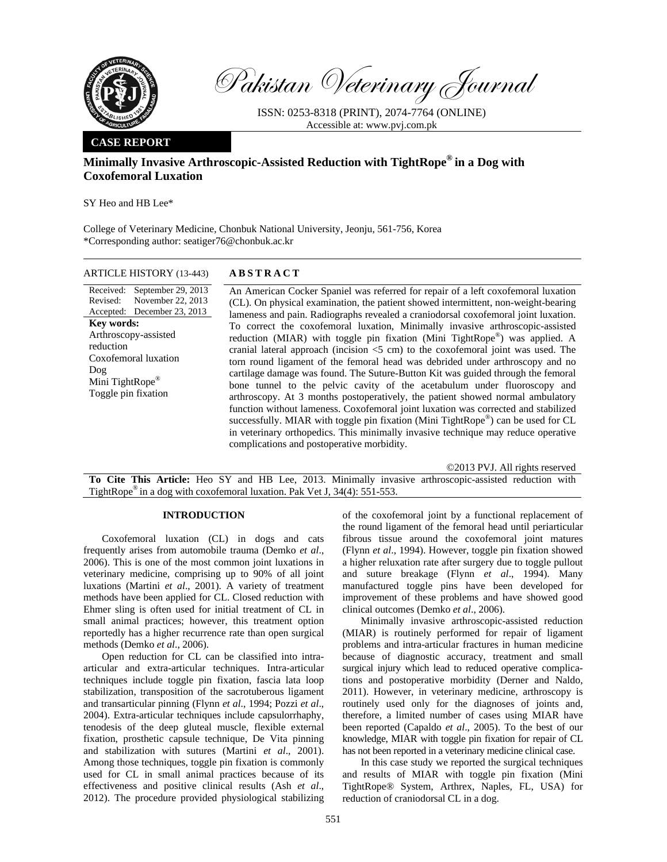

Pakistan Veterinary Journal

ISSN: 0253-8318 (PRINT), 2074-7764 (ONLINE) Accessible at: www.pvj.com.pk

# **CASE REPORT**

# **Minimally Invasive Arthroscopic-Assisted Reduction with TightRope® in a Dog with Coxofemoral Luxation**

SY Heo and HB Lee\*

College of Veterinary Medicine, Chonbuk National University, Jeonju, 561-756, Korea \*Corresponding author: seatiger76@chonbuk.ac.kr

## ARTICLE HISTORY (13-443) **ABSTRACT**

Received: September 29, 2013 Revised: Accepted: December 23, 2013 November 22, 2013 **Key words:**  Arthroscopy-assisted reduction Coxofemoral luxation Dog Mini TightRope® Toggle pin fixation

 An American Cocker Spaniel was referred for repair of a left coxofemoral luxation (CL). On physical examination, the patient showed intermittent, non-weight-bearing lameness and pain. Radiographs revealed a craniodorsal coxofemoral joint luxation. To correct the coxofemoral luxation, Minimally invasive arthroscopic-assisted reduction (MIAR) with toggle pin fixation (Mini TightRope®) was applied. A cranial lateral approach (incision <5 cm) to the coxofemoral joint was used. The torn round ligament of the femoral head was debrided under arthroscopy and no cartilage damage was found. The Suture-Button Kit was guided through the femoral bone tunnel to the pelvic cavity of the acetabulum under fluoroscopy and arthroscopy. At 3 months postoperatively, the patient showed normal ambulatory function without lameness. Coxofemoral joint luxation was corrected and stabilized successfully. MIAR with toggle pin fixation (Mini TightRope<sup>®</sup>) can be used for CL in veterinary orthopedics. This minimally invasive technique may reduce operative complications and postoperative morbidity.

©2013 PVJ. All rights reserved

**To Cite This Article:** Heo SY and HB Lee, 2013. Minimally invasive arthroscopic-assisted reduction with TightRope® in a dog with coxofemoral luxation. Pak Vet J, 34(4): 551-553.

# **INTRODUCTION**

Coxofemoral luxation (CL) in dogs and cats frequently arises from automobile trauma (Demko *et al*., 2006). This is one of the most common joint luxations in veterinary medicine, comprising up to 90% of all joint luxations (Martini *et al*., 2001). A variety of treatment methods have been applied for CL. Closed reduction with Ehmer sling is often used for initial treatment of CL in small animal practices; however, this treatment option reportedly has a higher recurrence rate than open surgical methods (Demko *et al*., 2006).

Open reduction for CL can be classified into intraarticular and extra-articular techniques. Intra-articular techniques include toggle pin fixation, fascia lata loop stabilization, transposition of the sacrotuberous ligament and transarticular pinning (Flynn *et al*., 1994; Pozzi *et al*., 2004). Extra-articular techniques include capsulorrhaphy, tenodesis of the deep gluteal muscle, flexible external fixation, prosthetic capsule technique, De Vita pinning and stabilization with sutures (Martini *et al*., 2001). Among those techniques, toggle pin fixation is commonly used for CL in small animal practices because of its effectiveness and positive clinical results (Ash *et al*., 2012). The procedure provided physiological stabilizing

of the coxofemoral joint by a functional replacement of the round ligament of the femoral head until periarticular fibrous tissue around the coxofemoral joint matures (Flynn *et al*., 1994). However, toggle pin fixation showed a higher reluxation rate after surgery due to toggle pullout and suture breakage (Flynn *et al*., 1994). Many manufactured toggle pins have been developed for improvement of these problems and have showed good clinical outcomes (Demko *et al*., 2006).

Minimally invasive arthroscopic-assisted reduction (MIAR) is routinely performed for repair of ligament problems and intra-articular fractures in human medicine because of diagnostic accuracy, treatment and small surgical injury which lead to reduced operative complications and postoperative morbidity (Derner and Naldo, 2011). However, in veterinary medicine, arthroscopy is routinely used only for the diagnoses of joints and, therefore, a limited number of cases using MIAR have been reported (Capaldo *et al*., 2005). To the best of our knowledge, MIAR with toggle pin fixation for repair of CL has not been reported in a veterinary medicine clinical case.

In this case study we reported the surgical techniques and results of MIAR with toggle pin fixation (Mini TightRope® System, Arthrex, Naples, FL, USA) for reduction of craniodorsal CL in a dog.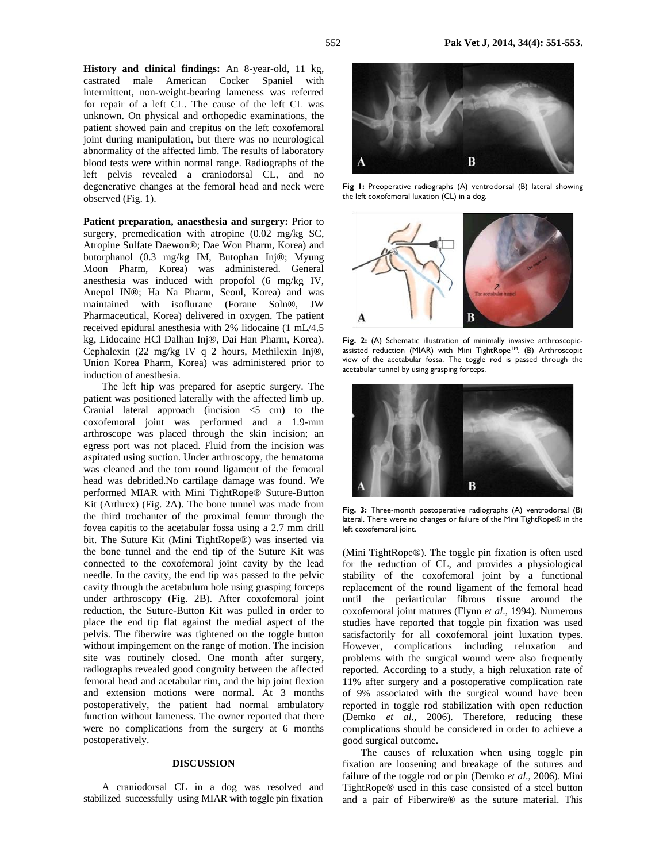**History and clinical findings:** An 8-year-old, 11 kg, castrated male American Cocker Spaniel with intermittent, non-weight-bearing lameness was referred for repair of a left CL. The cause of the left CL was unknown. On physical and orthopedic examinations, the patient showed pain and crepitus on the left coxofemoral joint during manipulation, but there was no neurological abnormality of the affected limb. The results of laboratory blood tests were within normal range. Radiographs of the left pelvis revealed a craniodorsal CL, and no degenerative changes at the femoral head and neck were observed (Fig. 1).

Patient preparation, anaesthesia and surgery: Prior to surgery, premedication with atropine (0.02 mg/kg SC, Atropine Sulfate Daewon®; Dae Won Pharm, Korea) and butorphanol (0.3 mg/kg IM, Butophan Inj®; Myung Moon Pharm, Korea) was administered. General anesthesia was induced with propofol (6 mg/kg IV, Anepol IN®; Ha Na Pharm, Seoul, Korea) and was maintained with isoflurane (Forane Soln®, JW Pharmaceutical, Korea) delivered in oxygen. The patient received epidural anesthesia with 2% lidocaine (1 mL/4.5 kg, Lidocaine HCl Dalhan Inj®, Dai Han Pharm, Korea). Cephalexin (22 mg/kg IV q 2 hours, Methilexin Inj®, Union Korea Pharm, Korea) was administered prior to induction of anesthesia.

The left hip was prepared for aseptic surgery. The patient was positioned laterally with the affected limb up. Cranial lateral approach (incision  $\leq$  5 cm) to the coxofemoral joint was performed and a 1.9-mm arthroscope was placed through the skin incision; an egress port was not placed. Fluid from the incision was aspirated using suction. Under arthroscopy, the hematoma was cleaned and the torn round ligament of the femoral head was debrided.No cartilage damage was found. We performed MIAR with Mini TightRope® Suture-Button Kit (Arthrex) (Fig. 2A). The bone tunnel was made from the third trochanter of the proximal femur through the fovea capitis to the acetabular fossa using a 2.7 mm drill bit. The Suture Kit (Mini TightRope®) was inserted via the bone tunnel and the end tip of the Suture Kit was connected to the coxofemoral joint cavity by the lead needle. In the cavity, the end tip was passed to the pelvic cavity through the acetabulum hole using grasping forceps under arthroscopy (Fig. 2B). After coxofemoral joint reduction, the Suture-Button Kit was pulled in order to place the end tip flat against the medial aspect of the pelvis. The fiberwire was tightened on the toggle button without impingement on the range of motion. The incision site was routinely closed. One month after surgery, radiographs revealed good congruity between the affected femoral head and acetabular rim, and the hip joint flexion and extension motions were normal. At 3 months postoperatively, the patient had normal ambulatory function without lameness. The owner reported that there were no complications from the surgery at 6 months postoperatively.

### **DISCUSSION**

A craniodorsal CL in a dog was resolved and stabilized successfully using MIAR with toggle pin fixation



Fig I: Preoperative radiographs (A) ventrodorsal (B) lateral showing the left coxofemoral luxation (CL) in a dog.



Fig. 2: (A) Schematic illustration of minimally invasive arthroscopicassisted reduction (MIAR) with Mini TightRope™. (B) Arthroscopic view of the acetabular fossa. The toggle rod is passed through the acetabular tunnel by using grasping forceps.



**Fig. 3:** Three-month postoperative radiographs (A) ventrodorsal (B) lateral. There were no changes or failure of the Mini TightRope® in the left coxofemoral joint.

(Mini TightRope®). The toggle pin fixation is often used for the reduction of CL, and provides a physiological stability of the coxofemoral joint by a functional replacement of the round ligament of the femoral head until the periarticular fibrous tissue around the coxofemoral joint matures (Flynn *et al*., 1994). Numerous studies have reported that toggle pin fixation was used satisfactorily for all coxofemoral joint luxation types. However, complications including reluxation and problems with the surgical wound were also frequently reported. According to a study, a high reluxation rate of 11% after surgery and a postoperative complication rate of 9% associated with the surgical wound have been reported in toggle rod stabilization with open reduction (Demko *et al*., 2006). Therefore, reducing these complications should be considered in order to achieve a good surgical outcome.

The causes of reluxation when using toggle pin fixation are loosening and breakage of the sutures and failure of the toggle rod or pin (Demko *et al*., 2006). Mini TightRope® used in this case consisted of a steel button and a pair of Fiberwire® as the suture material. This